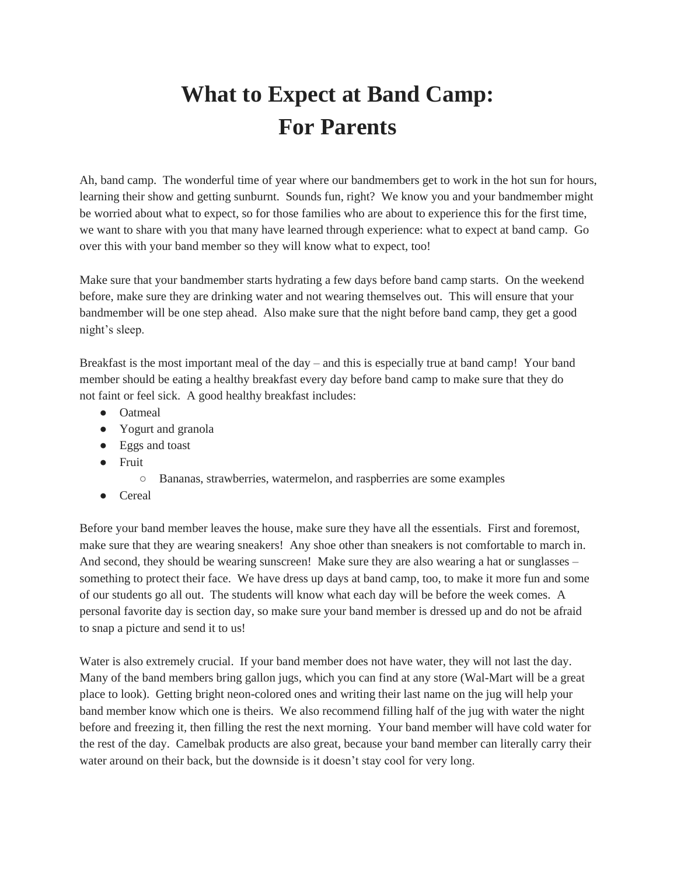## **What to Expect at Band Camp: For Parents**

Ah, band camp. The wonderful time of year where our bandmembers get to work in the hot sun for hours, learning their show and getting sunburnt. Sounds fun, right? We know you and your bandmember might be worried about what to expect, so for those families who are about to experience this for the first time, we want to share with you that many have learned through experience: what to expect at band camp. Go over this with your band member so they will know what to expect, too!

Make sure that your bandmember starts hydrating a few days before band camp starts. On the weekend before, make sure they are drinking water and not wearing themselves out. This will ensure that your bandmember will be one step ahead. Also make sure that the night before band camp, they get a good night's sleep.

Breakfast is the most important meal of the day – and this is especially true at band camp! Your band member should be eating a healthy breakfast every day before band camp to make sure that they do not faint or feel sick. A good healthy breakfast includes:

- Oatmeal
- Yogurt and granola
- Eggs and toast
- Fruit
	- Bananas, strawberries, watermelon, and raspberries are some examples
- Cereal

Before your band member leaves the house, make sure they have all the essentials. First and foremost, make sure that they are wearing sneakers! Any shoe other than sneakers is not comfortable to march in. And second, they should be wearing sunscreen! Make sure they are also wearing a hat or sunglasses – something to protect their face. We have dress up days at band camp, too, to make it more fun and some of our students go all out. The students will know what each day will be before the week comes. A personal favorite day is section day, so make sure your band member is dressed up and do not be afraid to snap a picture and send it to us!

Water is also extremely crucial. If your band member does not have water, they will not last the day. Many of the band members bring gallon jugs, which you can find at any store (Wal-Mart will be a great place to look). Getting bright neon-colored ones and writing their last name on the jug will help your band member know which one is theirs. We also recommend filling half of the jug with water the night before and freezing it, then filling the rest the next morning. Your band member will have cold water for the rest of the day. Camelbak products are also great, because your band member can literally carry their water around on their back, but the downside is it doesn't stay cool for very long.